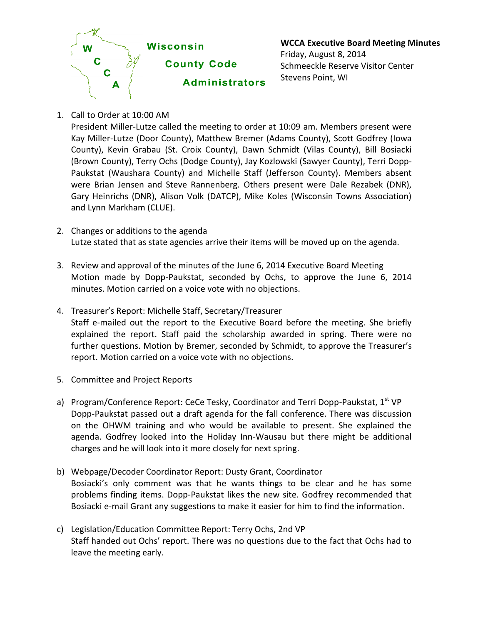

**WCCA Executive Board Meeting Minutes** Friday, August 8, 2014 Schmeeckle Reserve Visitor Center Stevens Point, WI

1. Call to Order at 10:00 AM

President Miller-Lutze called the meeting to order at 10:09 am. Members present were Kay Miller-Lutze (Door County), Matthew Bremer (Adams County), Scott Godfrey (Iowa County), Kevin Grabau (St. Croix County), Dawn Schmidt (Vilas County), Bill Bosiacki (Brown County), Terry Ochs (Dodge County), Jay Kozlowski (Sawyer County), Terri Dopp-Paukstat (Waushara County) and Michelle Staff (Jefferson County). Members absent were Brian Jensen and Steve Rannenberg. Others present were Dale Rezabek (DNR), Gary Heinrichs (DNR), Alison Volk (DATCP), Mike Koles (Wisconsin Towns Association) and Lynn Markham (CLUE).

- 2. Changes or additions to the agenda Lutze stated that as state agencies arrive their items will be moved up on the agenda.
- 3. Review and approval of the minutes of the June 6, 2014 Executive Board Meeting Motion made by Dopp-Paukstat, seconded by Ochs, to approve the June 6, 2014 minutes. Motion carried on a voice vote with no objections.
- 4. Treasurer's Report: Michelle Staff, Secretary/Treasurer Staff e-mailed out the report to the Executive Board before the meeting. She briefly explained the report. Staff paid the scholarship awarded in spring. There were no further questions. Motion by Bremer, seconded by Schmidt, to approve the Treasurer's report. Motion carried on a voice vote with no objections.
- 5. Committee and Project Reports
- a) Program/Conference Report: CeCe Tesky, Coordinator and Terri Dopp-Paukstat,  $1^{st}$  VP Dopp-Paukstat passed out a draft agenda for the fall conference. There was discussion on the OHWM training and who would be available to present. She explained the agenda. Godfrey looked into the Holiday Inn-Wausau but there might be additional charges and he will look into it more closely for next spring.
- b) Webpage/Decoder Coordinator Report: Dusty Grant, Coordinator Bosiacki's only comment was that he wants things to be clear and he has some problems finding items. Dopp-Paukstat likes the new site. Godfrey recommended that Bosiacki e-mail Grant any suggestions to make it easier for him to find the information.
- c) Legislation/Education Committee Report: Terry Ochs, 2nd VP Staff handed out Ochs' report. There was no questions due to the fact that Ochs had to leave the meeting early.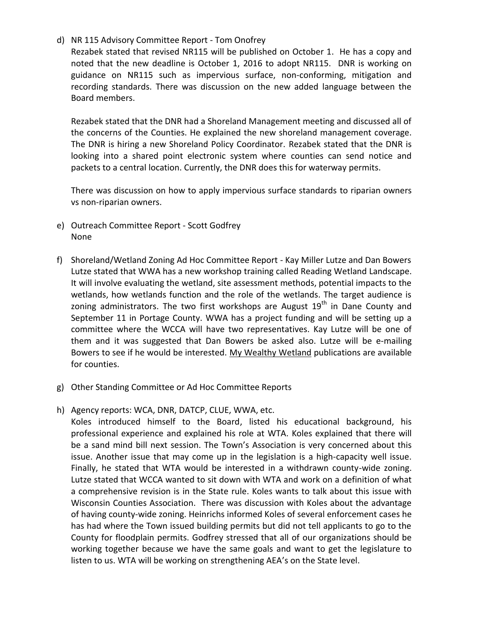## d) NR 115 Advisory Committee Report - Tom Onofrey

Rezabek stated that revised NR115 will be published on October 1. He has a copy and noted that the new deadline is October 1, 2016 to adopt NR115. DNR is working on guidance on NR115 such as impervious surface, non-conforming, mitigation and recording standards. There was discussion on the new added language between the Board members.

Rezabek stated that the DNR had a Shoreland Management meeting and discussed all of the concerns of the Counties. He explained the new shoreland management coverage. The DNR is hiring a new Shoreland Policy Coordinator. Rezabek stated that the DNR is looking into a shared point electronic system where counties can send notice and packets to a central location. Currently, the DNR does this for waterway permits.

There was discussion on how to apply impervious surface standards to riparian owners vs non-riparian owners.

- e) Outreach Committee Report Scott Godfrey None
- f) Shoreland/Wetland Zoning Ad Hoc Committee Report Kay Miller Lutze and Dan Bowers Lutze stated that WWA has a new workshop training called Reading Wetland Landscape. It will involve evaluating the wetland, site assessment methods, potential impacts to the wetlands, how wetlands function and the role of the wetlands. The target audience is zoning administrators. The two first workshops are August  $19<sup>th</sup>$  in Dane County and September 11 in Portage County. WWA has a project funding and will be setting up a committee where the WCCA will have two representatives. Kay Lutze will be one of them and it was suggested that Dan Bowers be asked also. Lutze will be e-mailing Bowers to see if he would be interested. My Wealthy Wetland publications are available for counties.
- g) Other Standing Committee or Ad Hoc Committee Reports
- h) Agency reports: WCA, DNR, DATCP, CLUE, WWA, etc.

Koles introduced himself to the Board, listed his educational background, his professional experience and explained his role at WTA. Koles explained that there will be a sand mind bill next session. The Town's Association is very concerned about this issue. Another issue that may come up in the legislation is a high-capacity well issue. Finally, he stated that WTA would be interested in a withdrawn county-wide zoning. Lutze stated that WCCA wanted to sit down with WTA and work on a definition of what a comprehensive revision is in the State rule. Koles wants to talk about this issue with Wisconsin Counties Association. There was discussion with Koles about the advantage of having county-wide zoning. Heinrichs informed Koles of several enforcement cases he has had where the Town issued building permits but did not tell applicants to go to the County for floodplain permits. Godfrey stressed that all of our organizations should be working together because we have the same goals and want to get the legislature to listen to us. WTA will be working on strengthening AEA's on the State level.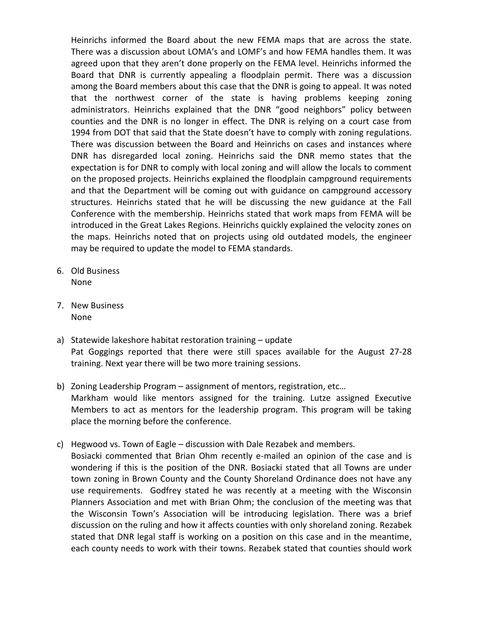Heinrichs informed the Board about the new FEMA maps that are across the state. There was a discussion about LOMA's and LOMF's and how FEMA handles them. It was agreed upon that they aren't done properly on the FEMA level. Heinrichs informed the Board that DNR is currently appealing a floodplain permit. There was a discussion among the Board members about this case that the DNR is going to appeal. It was noted that the northwest corner of the state is having problems keeping zoning administrators. Heinrichs explained that the DNR "good neighbors" policy between counties and the DNR is no longer in effect. The DNR is relying on a court case from 1994 from DOT that said that the State doesn't have to comply with zoning regulations. There was discussion between the Board and Heinrichs on cases and instances where DNR has disregarded local zoning. Heinrichs said the DNR memo states that the expectation is for DNR to comply with local zoning and will allow the locals to comment on the proposed projects. Heinrichs explained the floodplain campground requirements and that the Department will be coming out with guidance on campground accessory structures. Heinrichs stated that he will be discussing the new guidance at the Fall Conference with the membership. Heinrichs stated that work maps from FEMA will be introduced in the Great Lakes Regions. Heinrichs quickly explained the velocity zones on the maps. Heinrichs noted that on projects using old outdated models, the engineer may be required to update the model to FEMA standards.

- 6. Old Business None
- 7. New Business None
- a) Statewide lakeshore habitat restoration training update Pat Goggings reported that there were still spaces available for the August 27-28 training. Next year there will be two more training sessions.
- b) Zoning Leadership Program assignment of mentors, registration, etc… Markham would like mentors assigned for the training. Lutze assigned Executive Members to act as mentors for the leadership program. This program will be taking place the morning before the conference.
- c) Hegwood vs. Town of Eagle discussion with Dale Rezabek and members. Bosiacki commented that Brian Ohm recently e-mailed an opinion of the case and is wondering if this is the position of the DNR. Bosiacki stated that all Towns are under town zoning in Brown County and the County Shoreland Ordinance does not have any use requirements. Godfrey stated he was recently at a meeting with the Wisconsin Planners Association and met with Brian Ohm; the conclusion of the meeting was that the Wisconsin Town's Association will be introducing legislation. There was a brief discussion on the ruling and how it affects counties with only shoreland zoning. Rezabek stated that DNR legal staff is working on a position on this case and in the meantime, each county needs to work with their towns. Rezabek stated that counties should work